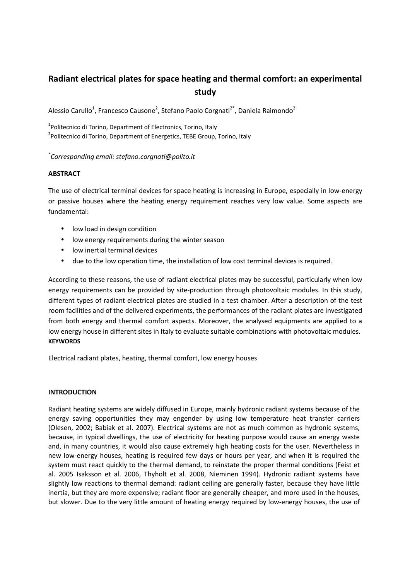# Radiant electrical plates for space heating and thermal comfort: an experimental study

Alessio Carullo<sup>1</sup>, Francesco Causone<sup>2</sup>, Stefano Paolo Corgnati<sup>2\*</sup>, Daniela Raimondo<sup>2</sup>

<sup>1</sup>Politecnico di Torino, Department of Electronics, Torino, Italy

<sup>2</sup>Politecnico di Torino, Department of Energetics, TEBE Group, Torino, Italy

# \* Corresponding email: stefano.corgnati@polito.it

# **ABSTRACT**

The use of electrical terminal devices for space heating is increasing in Europe, especially in low-energy or passive houses where the heating energy requirement reaches very low value. Some aspects are fundamental:

- low load in design condition
- low energy requirements during the winter season
- low inertial terminal devices
- due to the low operation time, the installation of low cost terminal devices is required.

According to these reasons, the use of radiant electrical plates may be successful, particularly when low energy requirements can be provided by site-production through photovoltaic modules. In this study, different types of radiant electrical plates are studied in a test chamber. After a description of the test room facilities and of the delivered experiments, the performances of the radiant plates are investigated from both energy and thermal comfort aspects. Moreover, the analysed equipments are applied to a low energy house in different sites in Italy to evaluate suitable combinations with photovoltaic modules. **KEYWORDS** 

Electrical radiant plates, heating, thermal comfort, low energy houses

# INTRODUCTION

Radiant heating systems are widely diffused in Europe, mainly hydronic radiant systems because of the energy saving opportunities they may engender by using low temperature heat transfer carriers (Olesen, 2002; Babiak et al. 2007). Electrical systems are not as much common as hydronic systems, because, in typical dwellings, the use of electricity for heating purpose would cause an energy waste and, in many countries, it would also cause extremely high heating costs for the user. Nevertheless in new low-energy houses, heating is required few days or hours per year, and when it is required the system must react quickly to the thermal demand, to reinstate the proper thermal conditions (Feist et al. 2005 Isaksson et al. 2006, Thyholt et al. 2008, Nieminen 1994). Hydronic radiant systems have slightly low reactions to thermal demand: radiant ceiling are generally faster, because they have little inertia, but they are more expensive; radiant floor are generally cheaper, and more used in the houses, but slower. Due to the very little amount of heating energy required by low-energy houses, the use of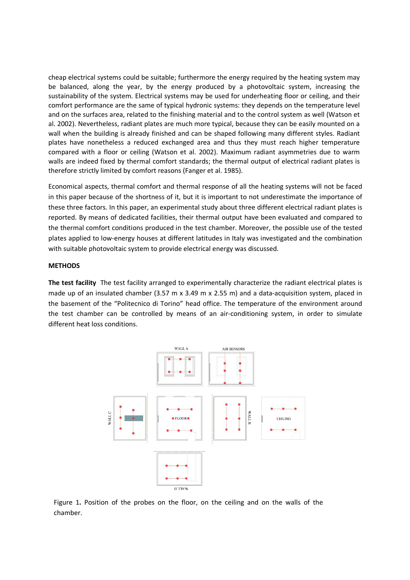cheap electrical systems could be suitable; furthermore the energy required by the heating system may be balanced, along the year, by the energy produced by a photovoltaic system, increasing the sustainability of the system. Electrical systems may be used for underheating floor or ceiling, and their comfort performance are the same of typical hydronic systems: they depends on the temperature level and on the surfaces area, related to the finishing material and to the control system as well (Watson et al. 2002). Nevertheless, radiant plates are much more typical, because they can be easily mounted on a wall when the building is already finished and can be shaped following many different styles. Radiant plates have nonetheless a reduced exchanged area and thus they must reach higher temperature compared with a floor or ceiling (Watson et al. 2002). Maximum radiant asymmetries due to warm walls are indeed fixed by thermal comfort standards; the thermal output of electrical radiant plates is therefore strictly limited by comfort reasons (Fanger et al. 1985).

Economical aspects, thermal comfort and thermal response of all the heating systems will not be faced in this paper because of the shortness of it, but it is important to not underestimate the importance of these three factors. In this paper, an experimental study about three different electrical radiant plates is reported. By means of dedicated facilities, their thermal output have been evaluated and compared to the thermal comfort conditions produced in the test chamber. Moreover, the possible use of the tested plates applied to low-energy houses at different latitudes in Italy was investigated and the combination with suitable photovoltaic system to provide electrical energy was discussed.

## **METHODS**

The test facility The test facility arranged to experimentally characterize the radiant electrical plates is made up of an insulated chamber (3.57 m x 3.49 m x 2.55 m) and a data-acquisition system, placed in the basement of the "Politecnico di Torino" head office. The temperature of the environment around the test chamber can be controlled by means of an air-conditioning system, in order to simulate different heat loss conditions.



Figure 1. Position of the probes on the floor, on the ceiling and on the walls of the chamber.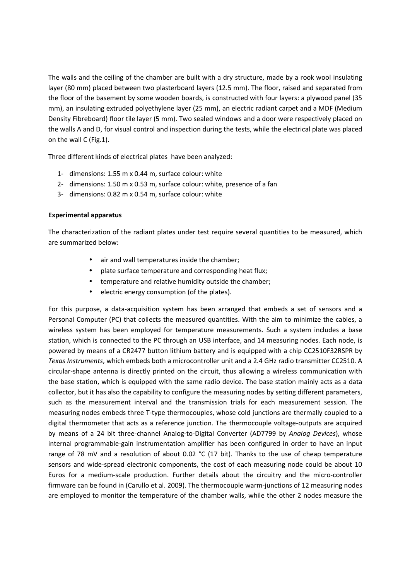The walls and the ceiling of the chamber are built with a dry structure, made by a rook wool insulating layer (80 mm) placed between two plasterboard layers (12.5 mm). The floor, raised and separated from the floor of the basement by some wooden boards, is constructed with four layers: a plywood panel (35 mm), an insulating extruded polyethylene layer (25 mm), an electric radiant carpet and a MDF (Medium Density Fibreboard) floor tile layer (5 mm). Two sealed windows and a door were respectively placed on the walls A and D, for visual control and inspection during the tests, while the electrical plate was placed on the wall C (Fig.1).

Three different kinds of electrical plates have been analyzed:

- 1- dimensions: 1.55 m x 0.44 m, surface colour: white
- 2- dimensions: 1.50 m x 0.53 m, surface colour: white, presence of a fan
- 3- dimensions: 0.82 m x 0.54 m, surface colour: white

# Experimental apparatus

The characterization of the radiant plates under test require several quantities to be measured, which are summarized below:

- air and wall temperatures inside the chamber;
- plate surface temperature and corresponding heat flux;
- temperature and relative humidity outside the chamber;
- electric energy consumption (of the plates).

For this purpose, a data-acquisition system has been arranged that embeds a set of sensors and a Personal Computer (PC) that collects the measured quantities. With the aim to minimize the cables, a wireless system has been employed for temperature measurements. Such a system includes a base station, which is connected to the PC through an USB interface, and 14 measuring nodes. Each node, is powered by means of a CR2477 button lithium battery and is equipped with a chip CC2510F32RSPR by Texas Instruments, which embeds both a microcontroller unit and a 2.4 GHz radio transmitter CC2510. A circular-shape antenna is directly printed on the circuit, thus allowing a wireless communication with the base station, which is equipped with the same radio device. The base station mainly acts as a data collector, but it has also the capability to configure the measuring nodes by setting different parameters, such as the measurement interval and the transmission trials for each measurement session. The measuring nodes embeds three T-type thermocouples, whose cold junctions are thermally coupled to a digital thermometer that acts as a reference junction. The thermocouple voltage-outputs are acquired by means of a 24 bit three-channel Analog-to-Digital Converter (AD7799 by Analog Devices), whose internal programmable-gain instrumentation amplifier has been configured in order to have an input range of 78 mV and a resolution of about 0.02 °C (17 bit). Thanks to the use of cheap temperature sensors and wide-spread electronic components, the cost of each measuring node could be about 10 Euros for a medium-scale production. Further details about the circuitry and the micro-controller firmware can be found in (Carullo et al. 2009). The thermocouple warm-junctions of 12 measuring nodes are employed to monitor the temperature of the chamber walls, while the other 2 nodes measure the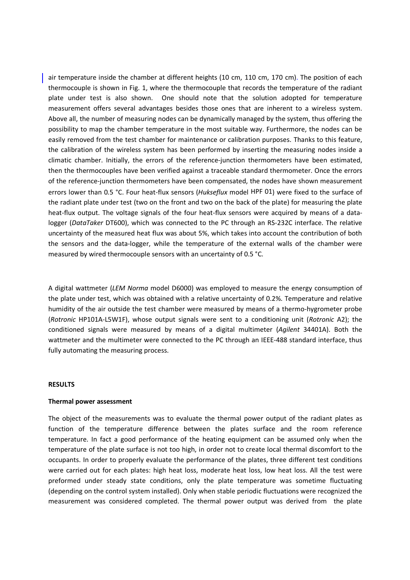air temperature inside the chamber at different heights (10 cm, 110 cm, 170 cm). The position of each thermocouple is shown in Fig. 1, where the thermocouple that records the temperature of the radiant plate under test is also shown. One should note that the solution adopted for temperature measurement offers several advantages besides those ones that are inherent to a wireless system. Above all, the number of measuring nodes can be dynamically managed by the system, thus offering the possibility to map the chamber temperature in the most suitable way. Furthermore, the nodes can be easily removed from the test chamber for maintenance or calibration purposes. Thanks to this feature, the calibration of the wireless system has been performed by inserting the measuring nodes inside a climatic chamber. Initially, the errors of the reference-junction thermometers have been estimated, then the thermocouples have been verified against a traceable standard thermometer. Once the errors of the reference-junction thermometers have been compensated, the nodes have shown measurement errors lower than 0.5 °C. Four heat-flux sensors (Hukseflux model HPF 01) were fixed to the surface of the radiant plate under test (two on the front and two on the back of the plate) for measuring the plate heat-flux output. The voltage signals of the four heat-flux sensors were acquired by means of a datalogger (DataTaker DT600), which was connected to the PC through an RS-232C interface. The relative uncertainty of the measured heat flux was about 5%, which takes into account the contribution of both the sensors and the data-logger, while the temperature of the external walls of the chamber were measured by wired thermocouple sensors with an uncertainty of 0.5 °C.

A digital wattmeter (LEM Norma model D6000) was employed to measure the energy consumption of the plate under test, which was obtained with a relative uncertainty of 0.2%. Temperature and relative humidity of the air outside the test chamber were measured by means of a thermo-hygrometer probe (Rotronic HP101A-L5W1F), whose output signals were sent to a conditioning unit (Rotronic A2); the conditioned signals were measured by means of a digital multimeter (Agilent 34401A). Both the wattmeter and the multimeter were connected to the PC through an IEEE-488 standard interface, thus fully automating the measuring process.

#### RESULTS

#### Thermal power assessment

The object of the measurements was to evaluate the thermal power output of the radiant plates as function of the temperature difference between the plates surface and the room reference temperature. In fact a good performance of the heating equipment can be assumed only when the temperature of the plate surface is not too high, in order not to create local thermal discomfort to the occupants. In order to properly evaluate the performance of the plates, three different test conditions were carried out for each plates: high heat loss, moderate heat loss, low heat loss. All the test were preformed under steady state conditions, only the plate temperature was sometime fluctuating (depending on the control system installed). Only when stable periodic fluctuations were recognized the measurement was considered completed. The thermal power output was derived from the plate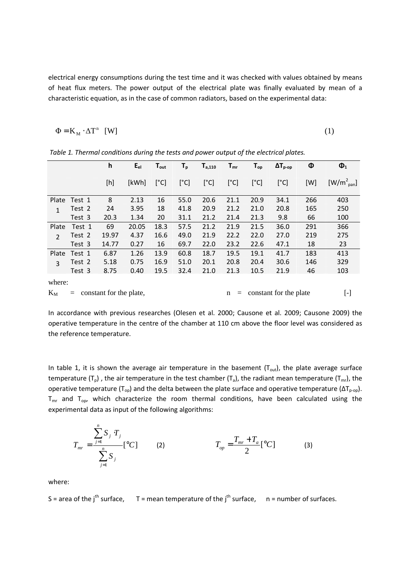electrical energy consumptions during the test time and it was checked with values obtained by means of heat flux meters. The power output of the electrical plate was finally evaluated by mean of a characteristic equation, as in the case of common radiators, based on the experimental data:

$$
\Phi = \mathbf{K}_{\mathbf{M}} \cdot \Delta \mathbf{T}^{\mathbf{n}} \quad \text{[W]} \tag{1}
$$

|                |                                     | h     | $E_{el}$ | $T_{\text{out}}$ | $T_{\sf p}$ | $T_{a,110}$ | $T_{mr}$                           | $T_{op}$ | $\Delta T_{p-op}$ | Φ         | $\mathbf{\Phi}_1$ |
|----------------|-------------------------------------|-------|----------|------------------|-------------|-------------|------------------------------------|----------|-------------------|-----------|-------------------|
|                |                                     | [h]   | [kWh]    | [°C]             | [°C]        | [°C]        | [°C]                               | [°C]     | [°C]              | [W]       | $[W/m^2_{pan}]$   |
| Plate          | Test 1                              | 8     | 2.13     | 16               | 55.0        | 20.6        | 21.1                               | 20.9     | 34.1              | 266       | 403               |
| $\mathbf{1}$   | Test 2                              | 24    | 3.95     | 18               | 41.8        | 20.9        | 21.2                               | 21.0     | 20.8              | 165       | 250               |
|                | Test 3                              | 20.3  | 1.34     | 20               | 31.1        | 21.2        | 21.4                               | 21.3     | 9.8               | 66        | 100               |
| Plate          | Test 1                              | 69    | 20.05    | 18.3             | 57.5        | 21.2        | 21.9                               | 21.5     | 36.0              | 291       | 366               |
| $\overline{2}$ | Test 2                              | 19.97 | 4.37     | 16.6             | 49.0        | 21.9        | 22.2                               | 22.0     | 27.0              | 219       | 275               |
|                | Test 3                              | 14.77 | 0.27     | 16               | 69.7        | 22.0        | 23.2                               | 22.6     | 47.1              | 18        | 23                |
| Plate          | Test 1                              | 6.87  | 1.26     | 13.9             | 60.8        | 18.7        | 19.5                               | 19.1     | 41.7              | 183       | 413               |
| 3              | Test 2                              | 5.18  | 0.75     | 16.9             | 51.0        | 20.1        | 20.8                               | 20.4     | 30.6              | 146       | 329               |
|                | Test 3                              | 8.75  | 0.40     | 19.5             | 32.4        | 21.0        | 21.3                               | 10.5     | 21.9              | 46        | 103               |
| where:         |                                     |       |          |                  |             |             |                                    |          |                   |           |                   |
| $K_M$          | constant for the plate,<br>$\equiv$ |       |          |                  |             |             | constant for the plate<br>n<br>$=$ |          |                   | $[\cdot]$ |                   |

Table 1. Thermal conditions during the tests and power output of the electrical plates.

In accordance with previous researches (Olesen et al. 2000; Causone et al. 2009; Causone 2009) the operative temperature in the centre of the chamber at 110 cm above the floor level was considered as the reference temperature.

In table 1, it is shown the average air temperature in the basement  $(T_{out})$ , the plate average surface temperature (T<sub>p</sub>), the air temperature in the test chamber (T<sub>a</sub>), the radiant mean temperature (T<sub>mr</sub>), the operative temperature (T<sub>op</sub>) and the delta between the plate surface and operative temperature ( $ΔT<sub>p-0p</sub>$ ).  $T_{\text{mr}}$  and  $T_{\text{op}}$ , which characterize the room thermal conditions, have been calculated using the experimental data as input of the following algorithms:

$$
T_{mr} = \frac{\sum_{j=1}^{n} S_j T_j}{\sum_{j=1}^{n} S_j} [^{\circ}C] \qquad (2) \qquad T_{op} = \frac{T_{mr} + T_a}{2} [^{\circ}C] \qquad (3)
$$

where:

S = area of the j<sup>th</sup> surface, T = mean temperature of the j<sup>th</sup> surface, n = number of surfaces.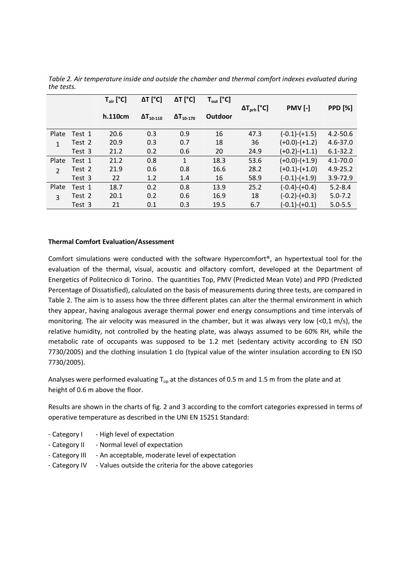|               |        | $T_{air}$ [°C] | $\Delta T$ [°C]     | $\Delta T$ [°C]     | $T_{\text{out}}$ [°C] |                       |                 |                |
|---------------|--------|----------------|---------------------|---------------------|-----------------------|-----------------------|-----------------|----------------|
|               |        |                |                     |                     |                       | $\Delta T_{prh}$ [°C] | <b>PMV [-]</b>  | <b>PPD [%]</b> |
|               |        | h.110cm        | $\Delta T_{10-110}$ | $\Delta T_{10-170}$ | Outdoor               |                       |                 |                |
|               |        |                |                     |                     |                       |                       |                 |                |
| Plate         | Test 1 | 20.6           | 0.3                 | 0.9                 | 16                    | 47.3                  | $(-0.1)-(+1.5)$ | $4.2 - 50.6$   |
| 1             | Test 2 | 20.9           | 0.3                 | 0.7                 | 18                    | 36                    | $(+0.0)-(+1.2)$ | $4.6 - 37.0$   |
|               | Test 3 | 21.2           | 0.2                 | 0.6                 | 20                    | 24.9                  | $(+0.2)-(+1.1)$ | $6.1 - 32.2$   |
| Plate         | Test 1 | 21.2           | 0.8                 | 1                   | 18.3                  | 53.6                  | $(+0.0)-(+1.9)$ | $4.1 - 70.0$   |
| $\mathcal{P}$ | Test 2 | 21.9           | 0.6                 | 0.8                 | 16.6                  | 28.2                  | $(+0.1)-(+1.0)$ | $4.9 - 25.2$   |
|               | Test 3 | 22             | 1.2                 | 1.4                 | 16                    | 58.9                  | $(-0.1)-(+1.9)$ | $3.9 - 72.9$   |
| Plate         | Test 1 | 18.7           | 0.2                 | 0.8                 | 13.9                  | 25.2                  | $(-0.4)-(+0.4)$ | $5.2 - 8.4$    |
| 3             | Test 2 | 20.1           | 0.2                 | 0.6                 | 16.9                  | 18                    | $(-0.2)-(+0.3)$ | $5.0 - 7.2$    |
|               | Test 3 | 21             | 0.1                 | 0.3                 | 19.5                  | 6.7                   | $(-0.1)-(+0.1)$ | $5.0 - 5.5$    |

Table 2. Air temperature inside and outside the chamber and thermal comfort indexes evaluated during the tests.

## Thermal Comfort Evaluation/Assessment

Comfort simulations were conducted with the software Hypercomfort®, an hypertextual tool for the evaluation of the thermal, visual, acoustic and olfactory comfort, developed at the Department of Energetics of Politecnico di Torino. The quantities Top, PMV (Predicted Mean Vote) and PPD (Predicted Percentage of Dissatisfied), calculated on the basis of measurements during three tests, are compared in Table 2. The aim is to assess how the three different plates can alter the thermal environment in which they appear, having analogous average thermal power end energy consumptions and time intervals of monitoring. The air velocity was measured in the chamber, but it was always very low  $(<0.1 \text{ m/s})$ , the relative humidity, not controlled by the heating plate, was always assumed to be 60% RH, while the metabolic rate of occupants was supposed to be 1.2 met (sedentary activity according to EN ISO 7730/2005) and the clothing insulation 1 clo (typical value of the winter insulation according to EN ISO 7730/2005).

Analyses were performed evaluating  $T_{op}$  at the distances of 0.5 m and 1.5 m from the plate and at height of 0.6 m above the floor.

Results are shown in the charts of fig. 2 and 3 according to the comfort categories expressed in terms of operative temperature as described in the UNI EN 15251 Standard:

- Category I High level of expectation
- Category II Normal level of expectation
- Category III An acceptable, moderate level of expectation
- Category IV Values outside the criteria for the above categories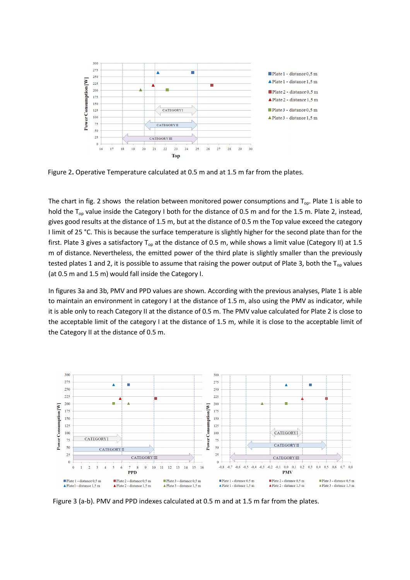

Figure 2. Operative Temperature calculated at 0.5 m and at 1.5 m far from the plates.

The chart in fig. 2 shows the relation between monitored power consumptions and  $T_{op}$ . Plate 1 is able to hold the  $T_{op}$  value inside the Category I both for the distance of 0.5 m and for the 1.5 m. Plate 2, instead, gives good results at the distance of 1.5 m, but at the distance of 0.5 m the Top value exceed the category I limit of 25 °C. This is because the surface temperature is slightly higher for the second plate than for the first. Plate 3 gives a satisfactory  $T_{op}$  at the distance of 0.5 m, while shows a limit value (Category II) at 1.5 m of distance. Nevertheless, the emitted power of the third plate is slightly smaller than the previously tested plates 1 and 2, it is possible to assume that raising the power output of Plate 3, both the  $T_{oo}$  values (at 0.5 m and 1.5 m) would fall inside the Category I.

In figures 3a and 3b, PMV and PPD values are shown. According with the previous analyses, Plate 1 is able to maintain an environment in category I at the distance of 1.5 m, also using the PMV as indicator, while it is able only to reach Category II at the distance of 0.5 m. The PMV value calculated for Plate 2 is close to the acceptable limit of the category I at the distance of 1.5 m, while it is close to the acceptable limit of the Category II at the distance of 0.5 m.



Figure 3 (a-b). PMV and PPD indexes calculated at 0.5 m and at 1.5 m far from the plates.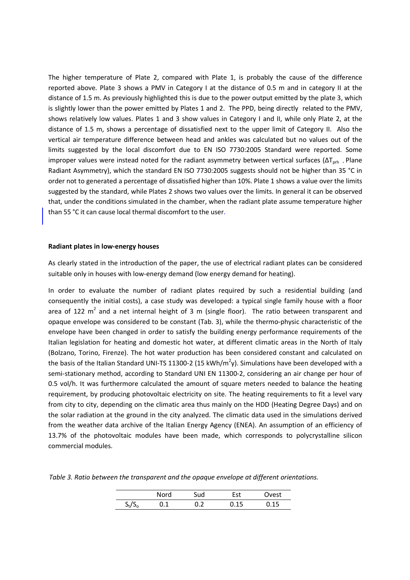The higher temperature of Plate 2, compared with Plate 1, is probably the cause of the difference reported above. Plate 3 shows a PMV in Category I at the distance of 0.5 m and in category II at the distance of 1.5 m. As previously highlighted this is due to the power output emitted by the plate 3, which is slightly lower than the power emitted by Plates 1 and 2. The PPD, being directly related to the PMV, shows relatively low values. Plates 1 and 3 show values in Category I and II, while only Plate 2, at the distance of 1.5 m, shows a percentage of dissatisfied next to the upper limit of Category II. Also the vertical air temperature difference between head and ankles was calculated but no values out of the limits suggested by the local discomfort due to EN ISO 7730:2005 Standard were reported. Some improper values were instead noted for the radiant asymmetry between vertical surfaces ( $\Delta T_{\text{prh}}$  - Plane Radiant Asymmetry), which the standard EN ISO 7730:2005 suggests should not be higher than 35 °C in order not to generated a percentage of dissatisfied higher than 10%. Plate 1 shows a value over the limits suggested by the standard, while Plates 2 shows two values over the limits. In general it can be observed that, under the conditions simulated in the chamber, when the radiant plate assume temperature higher than 55 °C it can cause local thermal discomfort to the user.

### Radiant plates in low-energy houses

As clearly stated in the introduction of the paper, the use of electrical radiant plates can be considered suitable only in houses with low-energy demand (low energy demand for heating).

In order to evaluate the number of radiant plates required by such a residential building (and consequently the initial costs), a case study was developed: a typical single family house with a floor area of 122 m<sup>2</sup> and a net internal height of 3 m (single floor). The ratio between transparent and opaque envelope was considered to be constant (Tab. 3), while the thermo-physic characteristic of the envelope have been changed in order to satisfy the building energy performance requirements of the Italian legislation for heating and domestic hot water, at different climatic areas in the North of Italy (Bolzano, Torino, Firenze). The hot water production has been considered constant and calculated on the basis of the Italian Standard UNI-TS 11300-2 (15 kWh/m<sup>2</sup>y). Simulations have been developed with a semi-stationary method, according to Standard UNI EN 11300-2, considering an air change per hour of 0.5 vol/h. It was furthermore calculated the amount of square meters needed to balance the heating requirement, by producing photovoltaic electricity on site. The heating requirements to fit a level vary from city to city, depending on the climatic area thus mainly on the HDD (Heating Degree Days) and on the solar radiation at the ground in the city analyzed. The climatic data used in the simulations derived from the weather data archive of the Italian Energy Agency (ENEA). An assumption of an efficiency of 13.7% of the photovoltaic modules have been made, which corresponds to polycrystalline silicon commercial modules.

Table 3. Ratio between the transparent and the opaque envelope at different orientations.

|           | Nord | sud | Est  | est        |
|-----------|------|-----|------|------------|
| $S_t/S_t$ |      | ے . | 0.15 | <b>015</b> |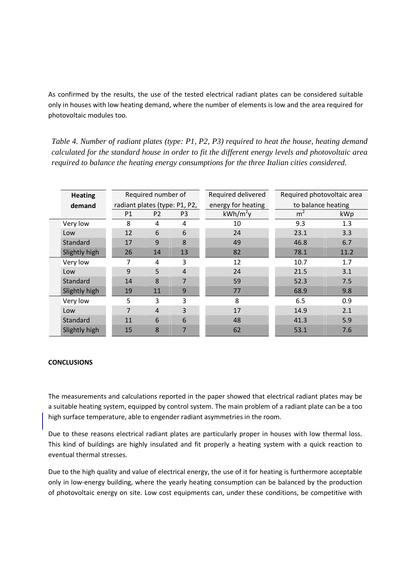As confirmed by the results, the use of the tested electrical radiant plates can be considered suitable only in houses with low heating demand, where the number of elements is low and the area required for photovoltaic modules too.

*Table 4. Number of radiant plates (type: P1, P2, P3) required to heat the house, heating demand calculated for the standard house in order to fit the different energy levels and photovoltaic area required to balance the heating energy consumptions for the three Italian cities considered.* 

|  | <b>Heating</b> |                               | Required number of |                | Required delivered | Required photovoltaic area |      |  |  |
|--|----------------|-------------------------------|--------------------|----------------|--------------------|----------------------------|------|--|--|
|  | demand         | radiant plates (type: P1, P2, |                    |                | energy for heating | to balance heating         |      |  |  |
|  |                | P1                            | P <sub>2</sub>     | P3             | $kWh/m^2y$         | m <sup>2</sup>             | kWp  |  |  |
|  | Very low       | 8                             | 4                  | 4              | 10                 | 9.3                        | 1.3  |  |  |
|  | Low            | 12                            | 6                  | 6              | 24                 | 23.1                       | 3.3  |  |  |
|  | Standard       | 17                            | 9                  | 8              | 49                 | 46.8                       | 6.7  |  |  |
|  | Slightly high  | 26                            | 14                 | 13             | 82                 | 78.1                       | 11.2 |  |  |
|  | Very low       | 7                             | 4                  | 3              | 12                 | 10.7                       | 1.7  |  |  |
|  | Low            | $\mathbf{q}$                  | 5                  | $\overline{4}$ | 24                 | 21.5                       | 3.1  |  |  |
|  | Standard       | 14                            | 8                  | 7              | 59                 | 52.3                       | 7.5  |  |  |
|  | Slightly high  | 19                            | 11                 | 9              | 77                 | 68.9                       | 9.8  |  |  |
|  | Very low       | 5                             | 3                  | 3              | 8                  | 6.5                        | 0.9  |  |  |
|  | Low            | 7                             | $\overline{4}$     | 3              | 17                 | 14.9                       | 2.1  |  |  |
|  | Standard       | 11                            | 6                  | 6              | 48                 | 41.3                       | 5.9  |  |  |
|  | Slightly high  | 15                            | 8                  | 7              | 62                 | 53.1                       | 7.6  |  |  |

### **CONCLUSIONS**

The measurements and calculations reported in the paper showed that electrical radiant plates may be a suitable heating system, equipped by control system. The main problem of a radiant plate can be a too high surface temperature, able to engender radiant asymmetries in the room.

Due to these reasons electrical radiant plates are particularly proper in houses with low thermal loss. This kind of buildings are highly insulated and fit properly a heating system with a quick reaction to eventual thermal stresses.

Due to the high quality and value of electrical energy, the use of it for heating is furthermore acceptable only in low-energy building, where the yearly heating consumption can be balanced by the production of photovoltaic energy on site. Low cost equipments can, under these conditions, be competitive with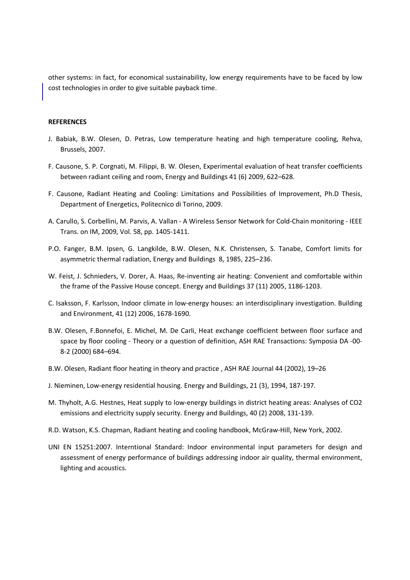other systems: in fact, for economical sustainability, low energy requirements have to be faced by low cost technologies in order to give suitable payback time.

#### **REFERENCES**

- J. Babiak, B.W. Olesen, D. Petras, Low temperature heating and high temperature cooling, Rehva, Brussels, 2007.
- F. Causone, S. P. Corgnati, M. Filippi, B. W. Olesen, Experimental evaluation of heat transfer coefficients between radiant ceiling and room, Energy and Buildings 41 (6) 2009, 622–628.
- F. Causone, Radiant Heating and Cooling: Limitations and Possibilities of Improvement, Ph.D Thesis, Department of Energetics, Politecnico di Torino, 2009.
- A. Carullo, S. Corbellini, M. Parvis, A. Vallan A Wireless Sensor Network for Cold-Chain monitoring IEEE Trans. on IM, 2009, Vol. 58, pp. 1405-1411.
- P.O. Fanger, B.M. Ipsen, G. Langkilde, B.W. Olesen, N.K. Christensen, S. Tanabe, Comfort limits for asymmetric thermal radiation, Energy and Buildings 8, 1985, 225–236.
- W. Feist, J. Schnieders, V. Dorer, A. Haas, Re-inventing air heating: Convenient and comfortable within the frame of the Passive House concept. Energy and Buildings 37 (11) 2005, 1186-1203.
- C. Isaksson, F. Karlsson, Indoor climate in low-energy houses: an interdisciplinary investigation. Building and Environment, 41 (12) 2006, 1678-1690.
- B.W. Olesen, F.Bonnefoi, E. Michel, M. De Carli, Heat exchange coefficient between floor surface and space by floor cooling - Theory or a question of definition, ASH RAE Transactions: Symposia DA -00- 8-2 (2000) 684–694.
- B.W. Olesen, Radiant floor heating in theory and practice , ASH RAE Journal 44 (2002), 19–26
- J. Nieminen, Low-energy residential housing. Energy and Buildings, 21 (3), 1994, 187-197.
- M. Thyholt, A.G. Hestnes, Heat supply to low-energy buildings in district heating areas: Analyses of CO2 emissions and electricity supply security. Energy and Buildings, 40 (2) 2008, 131-139.
- R.D. Watson, K.S. Chapman, Radiant heating and cooling handbook, McGraw-Hill, New York, 2002.
- UNI EN 15251:2007. Interntional Standard: Indoor environmental input parameters for design and assessment of energy performance of buildings addressing indoor air quality, thermal environment, lighting and acoustics.